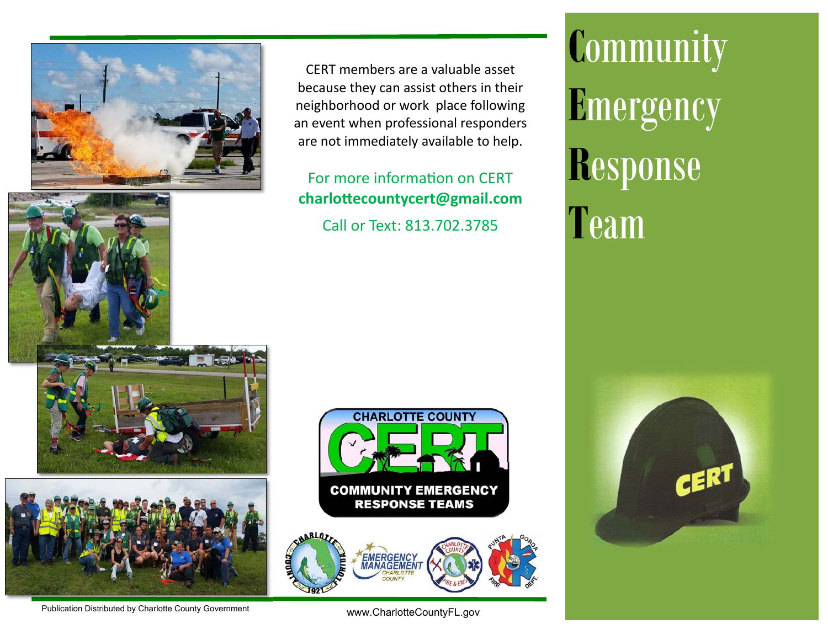

CERT members are a valuable asset because they can assist others in their neighborhood or work place following an event when professional responders are not immediately available to help.

# For more information on CFRT **charloƩecountycert@gmail.com** Call or Text: 813.702.3785

**C**ommunity **E**mergency **R**esponse **T**eam







Publication Distributed by Charlotte County Government

www.CharlotteCountyFL.gov

**CHARLOTTE COUNTY** 

**COMMUNITY EMERGENCY RESPONSE TEAMS**